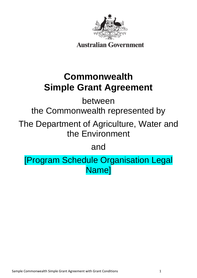

**Australian Government** 

# **Commonwealth Simple Grant Agreement**

between

the Commonwealth represented by

The Department of Agriculture, Water and the Environment

and

[Program Schedule Organisation Legal Name]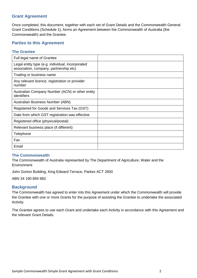# **Grant Agreement**

Once completed, this document, together with each set of Grant Details and the Commonwealth General Grant Conditions (Schedule 1), forms an Agreement between the Commonwealth of Australia (the Commonwealth) and the Grantee.

# **Parties to this Agreement**

# **The Grantee**

| Full legal name of Grantee                                                                 |  |
|--------------------------------------------------------------------------------------------|--|
| Legal entity type (e.g. individual, incorporated<br>association, company, partnership etc) |  |
| Trading or business name                                                                   |  |
| Any relevant licence, registration or provider<br>number                                   |  |
| Australian Company Number (ACN) or other entity<br>identifiers                             |  |
| Australian Business Number (ABN)                                                           |  |
| Registered for Goods and Services Tax (GST)                                                |  |
| Date from which GST registration was effective                                             |  |
| Registered office (physical/postal)                                                        |  |
| Relevant business place (if different)                                                     |  |
| Telephone                                                                                  |  |
| Fax                                                                                        |  |
| Email                                                                                      |  |

# **The Commonwealth**

The Commonwealth of Australia represented by The Department of Agriculture, Water and the **Environment** 

John Gorton Building, King Edward Terrace, Parkes ACT 2600

ABN 34 190 894 983

# **Background**

The Commonwealth has agreed to enter into this Agreement under which the Commonwealth will provide the Grantee with one or more Grants for the purpose of assisting the Grantee to undertake the associated Activity.

The Grantee agrees to use each Grant and undertake each Activity in accordance with this Agreement and the relevant Grant Details.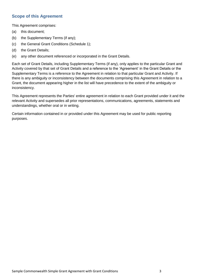# **Scope of this Agreement**

This Agreement comprises:

- (a) this document;
- (b) the Supplementary Terms (if any);
- (c) the General Grant Conditions (Schedule 1);
- (d) the Grant Details;
- (e) any other document referenced or incorporated in the Grant Details.

Each set of Grant Details, including Supplementary Terms (if any), only applies to the particular Grant and Activity covered by that set of Grant Details and a reference to the 'Agreement' in the Grant Details or the Supplementary Terms is a reference to the Agreement in relation to that particular Grant and Activity. If there is any ambiguity or inconsistency between the documents comprising this Agreement in relation to a Grant, the document appearing higher in the list will have precedence to the extent of the ambiguity or inconsistency.

This Agreement represents the Parties' entire agreement in relation to each Grant provided under it and the relevant Activity and supersedes all prior representations, communications, agreements, statements and understandings, whether oral or in writing.

Certain information contained in or provided under this Agreement may be used for public reporting purposes.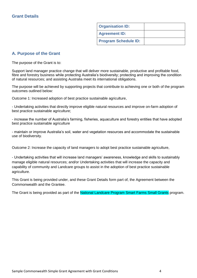| <b>Organisation ID:</b>     |  |
|-----------------------------|--|
| <b>Agreement ID:</b>        |  |
| <b>Program Schedule ID:</b> |  |

# **A. Purpose of the Grant**

The purpose of the Grant is to:

Support land manager practice change that will deliver more sustainable, productive and profitable food, fibre and forestry business while protecting Australia's biodiversity; protecting and improving the condition of natural resources; and assisting Australia meet its international obligations.

The purpose will be achieved by supporting projects that contribute to achieving one or both of the program outcomes outlined below:

Outcome 1: Increased adoption of best practice sustainable agriculture,

- Undertaking activities that directly improve eligible natural resources and improve on-farm adoption of best practice sustainable agriculture;

- increase the number of Australia's farming, fisheries, aquaculture and forestry entities that have adopted best practice sustainable agriculture

- maintain or improve Australia's soil, water and vegetation resources and accommodate the sustainable use of biodiversity.

Outcome 2: Increase the capacity of land managers to adopt best practice sustainable agriculture,

- Undertaking activities that will increase land managers' awareness, knowledge and skills to sustainably manage eligible natural resources; and/or Undertaking activities that will increase the capacity and capability of community and Landcare groups to assist in the adoption of best practice sustainable agriculture.

This Grant is being provided under, and these Grant Details form part of, the Agreement between the Commonwealth and the Grantee.

The Grant is being provided as part of the National Landcare Program Smart Farms Small Grants program.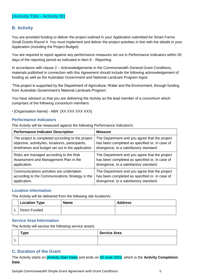# **[Activity Title - Activity ID]**

# **B. Activity**

You are provided funding to deliver the project outlined in your Application submitted for Smart Farms Small Grants Round 4. You must implement and deliver the project activities in line with the details in your Application (including the Project Budget).

You are required to report against any performance measures set out in Performance Indicators within 30 days of the reporting period as indicated in Item E - Reporting.

In accordance with clause 2 – Acknowledgements in the Commonwealth General Grant Conditions, materials published in connection with this Agreement should include the following acknowledgement of funding as well as the Australian Government and National Landcare Program logos:

'This project is supported by the Department of Agriculture, Water and the Environment, through funding from Australian Government's National Landcare Program.'

You have advised us that you are delivering the Activity as the lead member of a consortium which comprises of the following consortium members:

• [Organisation Name] - ABN [XX XXX XXX XXX]

# **Performance Indicators**

The Activity will be measured against the following Performance Indicator/s:

| <b>Performance Indicator Description</b>           | <b>Measure</b>                                 |
|----------------------------------------------------|------------------------------------------------|
| The project is completed according to the project  | The Department and you agree that the project  |
| objective, activity/ies, location/s, participants, | has been completed as specified or, in case of |
| timeframes and budget set out in the application.  | divergence, to a satisfactory standard.        |
| Risks are managed according to the Risk            | The Department and you agree that the project  |
| Assessment and Management Plan in the              | has been completed as specified or, in case of |
| application.                                       | divergence, to a satisfactory standard.        |
| Communications activities are undertaken           | The Department and you agree that the project  |
| according to the Communications Strategy in the    | has been completed as specified or, in case of |
| application.                                       | divergence, to a satisfactory standard.        |

# **Location Information**

The Activity will be delivered from the following site location/s:

| <b>Location Type</b> | <b>Name</b> | <b>Address</b> |
|----------------------|-------------|----------------|
| Direct Funded        |             |                |

# **Service Area Information**

The Activity will service the following service area/s:

|   | $\tau$ ype | Service Area |  |  |
|---|------------|--------------|--|--|
| ◢ |            |              |  |  |

# **C. Duration of the Grant**

The Activity starts on [Activity Start Date] and ends on 30 June 2023, which is the **Activity Completion Date**.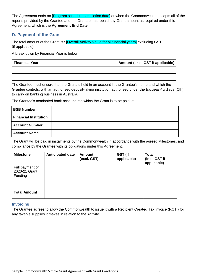The Agreement ends on **[Program schedule completion date]** or when the Commonwealth accepts all of the reports provided by the Grantee and the Grantee has repaid any Grant amount as required under this Agreement, which is the **Agreement End Date**.

# **D. Payment of the Grant**

The total amount of the Grant is \$[Overall Activity Value for all financial years] excluding GST (if applicable).

A break down by Financial Year is below:

| <b>Financial Year</b> | Amount (excl. GST if applicable) |  |  |
|-----------------------|----------------------------------|--|--|
|                       |                                  |  |  |
|                       |                                  |  |  |

The Grantee must ensure that the Grant is held in an account in the Grantee's name and which the Grantee controls, with an authorised deposit-taking institution authorised under the *Banking Act 1959* (Cth) to carry on banking business in Australia.

The Grantee's nominated bank account into which the Grant is to be paid is:

| <b>BSB Number</b>            |  |
|------------------------------|--|
| <b>Financial Institution</b> |  |
| <b>Account Number</b>        |  |
| <b>Account Name</b>          |  |

The Grant will be paid in instalments by the Commonwealth in accordance with the agreed Milestones, and compliance by the Grantee with its obligations under this Agreement.

| <b>Milestone</b>                                   | <b>Anticipated date</b> | Amount<br>(excl. GST) | GST (if<br>applicable) | <b>Total</b><br>(incl. GST if<br>applicable) |
|----------------------------------------------------|-------------------------|-----------------------|------------------------|----------------------------------------------|
| Full payment of<br>2020-21 Grant<br><b>Funding</b> |                         |                       |                        |                                              |
| <b>Total Amount</b>                                |                         |                       |                        |                                              |

# **Invoicing**

The Grantee agrees to allow the Commonwealth to issue it with a Recipient Created Tax Invoice (RCTI) for any taxable supplies it makes in relation to the Activity.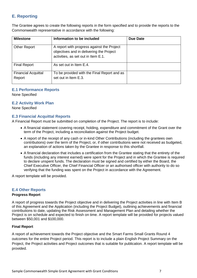# **E. Reporting**

The Grantee agrees to create the following reports in the form specified and to provide the reports to the Commonwealth representative in accordance with the following:

| <b>Milestone</b>                     | Information to be included                                                                                                    | Due Date |
|--------------------------------------|-------------------------------------------------------------------------------------------------------------------------------|----------|
| <b>Other Report</b>                  | A report with progress against the Project<br>objectives and in delivering the Project<br>activities, as set out in Item E.1. |          |
| <b>Final Report</b>                  | As set out in Item E.4.                                                                                                       |          |
| <b>Financial Acquittal</b><br>Report | To be provided with the Final Report and as<br>set out in Item E.3.                                                           |          |

# **E.1 Performance Reports**

None Specified

# **E.2 Activity Work Plan**

None Specified

# **E.3 Financial Acquittal Reports**

A Financial Report must be submitted on completion of the Project. The report is to include:

- A financial statement covering receipt, holding, expenditure and commitment of the Grant over the term of the Project, including a reconciliation against the Project budget.
- A report of the receipt of any cash or in-kind Other Contributions (including the grantees own contributions) over the term of the Project, or, if other contributions were not received as budgeted, an explanation of actions taken by the Grantee in response to this shortfall.
- A financial declaration that includes a certification from the Grantee stating that the entirety of the funds (including any interest earned) were spent for the Project and in which the Grantee is required to declare unspent funds. The declaration must be signed and certified by either the Board, the Chief Executive Officer, the Chief Financial Officer or an authorised officer with authority to do so verifying that the funding was spent on the Project in accordance with the Agreement.

A report template will be provided.

# **E.4 Other Reports**

# **Progress Report**

A report of progress towards the Project objective and in delivering the Project activities in line with Item B of this Agreement and the Application (including the Project Budget), outlining achievements and financial contributions to date, updating the Risk Assessment and Management Plan and detailing whether the Project is on schedule and expected to finish on time. A report template will be provided for projects valued between \$50,001 and \$100,000.

# **Final Report**

A report of achievement towards the Project objective and the Smart Farms Small Grants Round 4 outcomes for the entire Project period. This report is to include a plain English Project Summary on the Project, the Project activities and Project outcomes that is suitable for publication. A report template will be provided.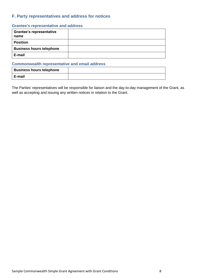# **F. Party representatives and address for notices**

# **Grantee's representative and address**

| <b>Grantee's representative</b><br>name |  |
|-----------------------------------------|--|
| <b>Position</b>                         |  |
| <b>Business hours telephone</b>         |  |
| E-mail                                  |  |

# **Commonwealth representative and email address**

| <b>Business hours telephone</b> |  |
|---------------------------------|--|
| E-mail                          |  |

The Parties' representatives will be responsible for liaison and the day-to-day management of the Grant, as well as accepting and issuing any written notices in relation to the Grant.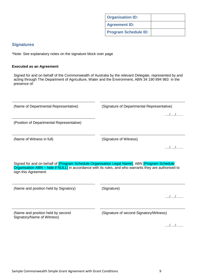|  |  |  | . . |
|--|--|--|-----|
|  |  |  |     |
|  |  |  |     |
|  |  |  |     |
|  |  |  |     |
|  |  |  |     |
|  |  |  |     |
|  |  |  |     |
|  |  |  |     |
|  |  |  |     |
|  |  |  |     |
|  |  |  |     |
|  |  |  |     |
|  |  |  |     |
|  |  |  |     |
|  |  |  |     |

# **Signatures**

\*Note: See explanatory notes on the signature block over page

# **Executed as an Agreement**

Signed for and on behalf of the Commonwealth of Australia by the relevant Delegate, represented by and acting through The Department of Agriculture, Water and the Environment, ABN 34 190 894 983 in the presence of:

(Name of Departmental Representative) (Signature of Departmental Representative)

(Position of Departmental Representative)

|  | (Name of Witness in full) |  |  |
|--|---------------------------|--|--|
|--|---------------------------|--|--|

(Signature of Witness)

…./…./……

…./…./……

Signed for and on behalf of [Program Schedule Organisation Legal Name], ABN [Program Schedule Organisation ABN – hide if NULL] in accordance with its rules, and who warrants they are authorised to sign this Agreement:

(Name and position held by Signatory) (Signature)

(Name and position held by second

Signatory/Name of Witness)

…./…./……

**Organisation ID: Agreement ID: Program Schedule ID:**

(Signature of second Signatory/Witness)

…./…./……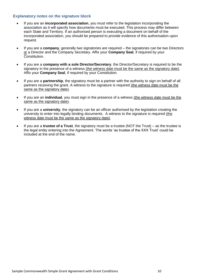# **Explanatory notes on the signature block**

- If you are an **incorporated association**, you must refer to the legislation incorporating the association as it will specify how documents must be executed. This process may differ between each State and Territory. If an authorised person is executing a document on behalf of the incorporated association, you should be prepared to provide evidence of this authorisation upon request.
- If you are a **company**, generally two signatories are required the signatories can be two Directors or a Director and the Company Secretary. Affix your **Company Seal**, if required by your Constitution.
- If you are a **company with a sole Director/Secretary**, the Director/Secretary is required to be the signatory in the presence of a witness (the witness date must be the same as the signatory date). Affix your **Company Seal**, if required by your Constitution.
- If you are a **partnership**, the signatory must be a partner with the authority to sign on behalf of all partners receiving the grant. A witness to the signature is required (the witness date must be the same as the signatory date).
- If you are an **individual**, you must sign in the presence of a witness (the witness date must be the same as the signatory date).
- If you are a **university**, the signatory can be an officer authorised by the legislation creating the university to enter into legally binding documents. A witness to the signature is required (the witness date must be the same as the signatory date).
- If you are a **trustee of a Trust**, the signatory must be a trustee (NOT the Trust) as the trustee is the legal entity entering into the Agreement. The words 'as trustee of the XXX Trust' could be included at the end of the name.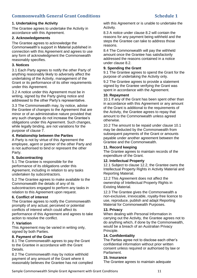# **Commonwealth General Grant Conditions Schedule 1**

# **1. Undertaking the Activity**

The Grantee agrees to undertake the Activity in accordance with this Agreement.

### **2. Acknowledgements**

The Grantee agrees to acknowledge the Commonwealth's support in Material published in connection with this Agreement and agrees to use any form of acknowledgment the Commonwealth reasonably specifies.

# **3. Notices**

3.1 Each Party agrees to notify the other Party of anything reasonably likely to adversely affect the undertaking of the Activity, management of the Grant or its performance of its other requirements under this Agreement.

3.2 A notice under this Agreement must be in writing, signed by the Party giving notice and addressed to the other Party's representative.

3.3 The Commonwealth may, by notice, advise the Grantee of changes to the Agreement that are minor or of an administrative nature provided that any such changes do not increase the Grantee's obligations under this Agreement. Such changes, while legally binding, are not variations for the purpose of clause 7.

# **4. Relationship between the Parties**

A Party is not by virtue of this Agreement the employee, agent or partner of the other Party and is not authorised to bind or represent the other Party.

# **5. Subcontracting**

5.1 The Grantee is responsible for the performance of its obligations under this Agreement, including in relation to any tasks undertaken by subcontractors.

5.2 The Grantee agrees to make available to the Commonwealth the details of any of its subcontractors engaged to perform any tasks in relation to this Agreement upon request.

# **6. Conflict of interest**

The Grantee agrees to notify the Commonwealth promptly of any actual, perceived or potential conflicts of interest which could affect its performance of this Agreement and agrees to take action to resolve the conflict.

### **7. Variation**

This Agreement may be varied in writing only, signed by both Parties.

### **8. Payment of the Grant**

8.1 The Commonwealth agrees to pay the Grant to the Grantee in accordance with the Grant Details.

8.2 The Commonwealth may by notice withhold payment of any amount of the Grant where it reasonably believes the Grantee has not complied with this Agreement or is unable to undertake the Activity.

8.3 A notice under clause 8.2 will contain the reasons for any payment being withheld and the steps the Grantee can take to address those reasons.

8.4 The Commonwealth will pay the withheld amount once the Grantee has satisfactorily addressed the reasons contained in a notice under clause 8.2.

### **9. Spending the Grant**

9.1 The Grantee agrees to spend the Grant for the purpose of undertaking the Activity only.

9.2 The Grantee agrees to provide a statement signed by the Grantee verifying the Grant was spent in accordance with the Agreement.

### **10. Repayment**

10.1 If any of the Grant has been spent other than in accordance with this Agreement or any amount of the Grant is additional to the requirements of the Activity, the Grantee agrees to repay that amount to the Commonwealth unless agreed otherwise.

10.2 The amount to be repaid under clause 10.1 may be deducted by the Commonwealth from subsequent payments of the Grant or amounts payable under another agreement between the Grantee and the Commonwealth.

### **11. Record keeping**

The Grantee agrees to maintain records of the expenditure of the Grant.

### **12. Intellectual Property**

12.1 Subject to clause 12.2, the Grantee owns the Intellectual Property Rights in Activity Material and Reporting Material.

12.2 This Agreement does not affect the ownership of Intellectual Property Rights in Existing Material.

12.3 The Grantee gives the Commonwealth a non-exclusive, irrevocable, royalty-free licence to use, reproduce, publish and adapt Reporting Material for Commonwealth Purposes.

### **13. Privacy**

When dealing with Personal Information in carrying out the Activity, the Grantee agrees not to do anything which, if done by the Commonwealth, would be a breach of an Australian Privacy Principle.

### **14. Confidentiality**

The Parties agree not to disclose each other's confidential information without prior written consent unless required or authorised by law or Parliament.

### **15. Insurance**

The Grantee agrees to maintain adequate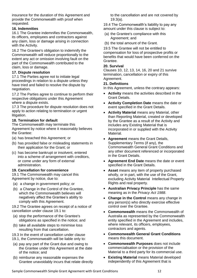insurance for the duration of this Agreement and provide the Commonwealth with proof when requested.

# **16. Indemnities**

16.1 The Grantee indemnifies the Commonwealth, its officers, employees and contractors against any claim, loss or damage arising in connection with the Activity.

16.2 The Grantee's obligation to indemnify the Commonwealth will reduce proportionally to the extent any act or omission involving fault on the part of the Commonwealth contributed to the claim, loss or damage.

# **17. Dispute resolution**

17.1 The Parties agree not to initiate legal proceedings in relation to a dispute unless they have tried and failed to resolve the dispute by negotiation.

17.2 The Parties agree to continue to perform their respective obligations under this Agreement where a dispute exists.

17.3 The procedure for dispute resolution does not apply to action relating to termination or urgent litigation.

# **18. Termination for default**

The Commonwealth may terminate this Agreement by notice where it reasonably believes the Grantee:

- (a) has breached this Agreement; or
- (b) has provided false or misleading statements in their application for the Grant; or
- (c) has become bankrupt or insolvent, entered into a scheme of arrangement with creditors, or come under any form of external administration.

# **19. Cancellation for convenience**

19.1 The Commonwealth may cancel this Agreement by notice, due to:

- (a) a change in government policy; or
- (b) a Change in the Control of the Grantee, which the Commonwealth believes will negatively affect the Grantee's ability to comply with this Agreement.

19.2 The Grantee agrees on receipt of a notice of cancellation under clause 19.1 to:

- (a) stop the performance of the Grantee's obligations as specified in the notice; and
- (b) take all available steps to minimise loss resulting from that cancellation.

19.3 In the event of cancellation under clause

- 19.1, the Commonwealth will be liable only to:
- (a) pay any part of the Grant due and owing to the Grantee under this Agreement at the date of the notice; and
- (b) reimburse any reasonable expenses the Grantee unavoidably incurs that relate directly

to the cancellation and are not covered by 19.3(a).

19.4 The Commonwealth's liability to pay any amount under this clause is subject to:

- (a) the Grantee's compliance with this Agreement; and
- (b) the total amount of the Grant.

19.5 The Grantee will not be entitled to compensation for loss of prospective profits or benefits that would have been conferred on the Grantee.

### **20. Survival**

Clauses 10, 12, 13, 14, 16, 20 and 21 survive termination, cancellation or expiry of this Agreement.

### **21. Definitions**

In this Agreement, unless the contrary appears:

- **Activity** means the activities described in the Grant Details.
- **Activity Completion Date** means the date or event specified in the Grant Details.
- **Activity Material** means any Material, other than Reporting Material, created or developed by the Grantee as a result of the Activity and includes any Existing Material that is incorporated in or supplied with the Activity Material.
- **Agreement** means the Grant Details, Supplementary Terms (if any), the Commonwealth General Grant Conditions and any other document referenced or incorporated in the Grant Details.
- **Agreement End Date** means the date or event specified in the Grant Details.
- **Asset** means any item of property purchased wholly, or in part, with the use of the Grant, excluding Activity Material Intellectual Property Rights and real property.
- **Australian Privacy Principle** has the same meaning as in the *Privacy Act 1988*.
- **Change in the Control** means any change in any person(s) who directly exercise effective control over the Grantee.
- **Commonwealth** means the Commonwealth of Australia as represented by the Commonwealth entity specified in the Agreement and includes, where relevant, its officers, employees, contractors and agents.
- **Commonwealth General Grant Conditions** means this document.
- **Commonwealth Purposes** does not include commercialisation or the provision of the Material to a third party for its commercial use.
- **Existing Material** means Material developed independently of this Agreement that is